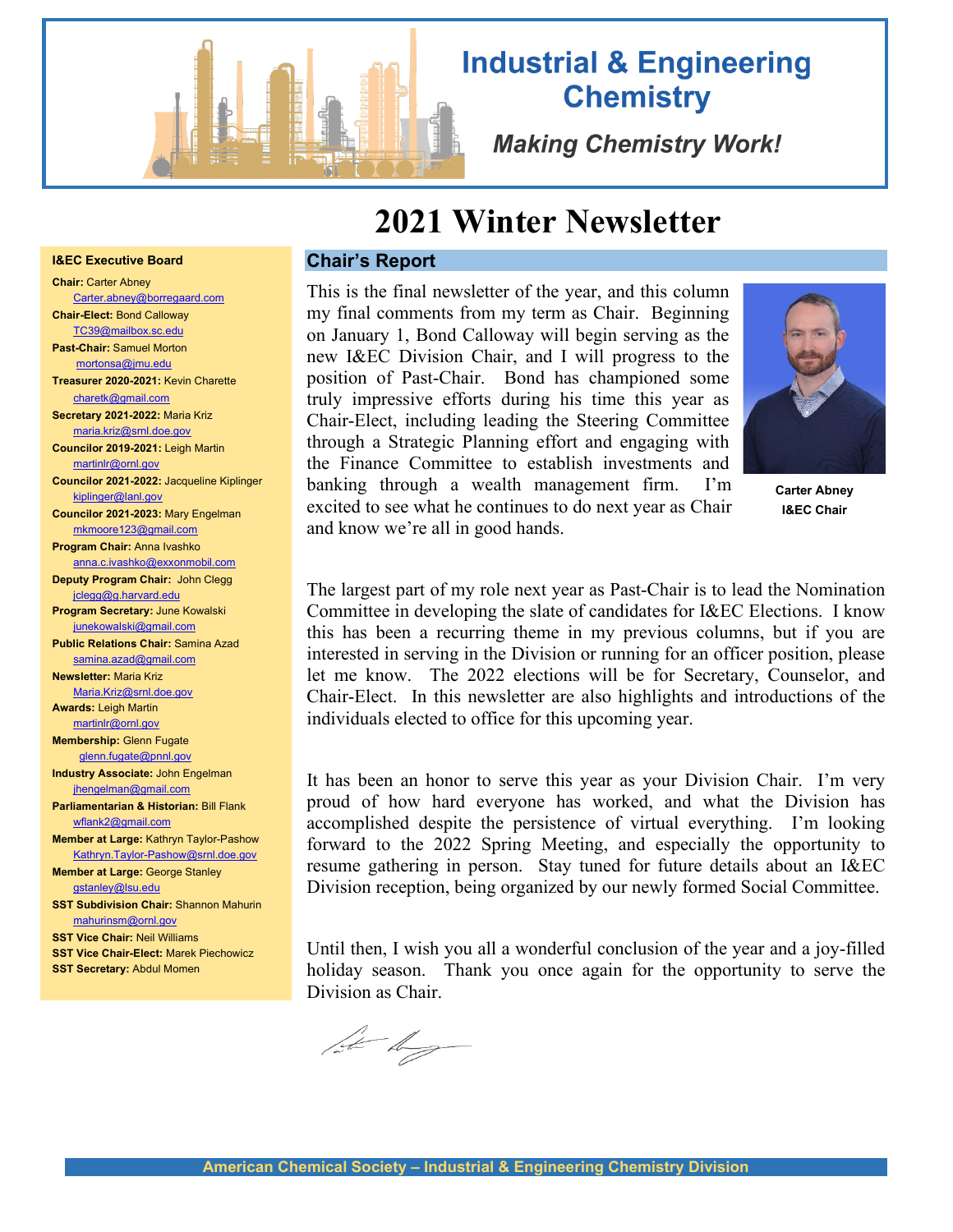

**I&EC Executive Board Chair:** Carter Abney

**Chair-Elect:** Bond Calloway [TC39@mailbox.sc.edu](mailto:TC39@mailbox.sc.edu) **Past-Chair:** Samuel Morton mortonsa@jmu.edu **Treasurer 2020-2021:** Kevin Charette [charetk@gmail.com](mailto:charetk@gmail.com) **Secretary 2021-2022:** Maria Kriz [maria.kriz@srnl.doe.gov](mailto:maria.kriz@srnl.doe.gov) **Councilor 2019-2021:** Leigh Martin martinlr@ornl.gov

[kiplinger@lanl.gov](mailto:kiplinger@lanl.gov)

**Newsletter:** Maria Kriz [Maria.Kriz@srnl.doe.gov](mailto:Maria.Kriz@srnl.doe.gov) **Awards:** Leigh Martin [martinlr@ornl.gov](mailto:martinlr@ornl.gov) **Membership:** Glenn Fugate  [glenn.fugate@pnnl.gov](mailto:glenn.fugate@pnnl.gov)  **Industry Associate:** John Engelman jhengelman@gmail.com **Parliamentarian & Historian:** Bill Flank [wflank2@gmail.com](mailto:wflank2@gmail.com)

[Carter.abney@borregaard.com](mailto:Carter.abney@borregaard.com)

**Councilor 2021-2022:** Jacqueline Kiplinger

**Councilor 2021-2023:** Mary Engelman [mkmoore123@gmail.com](mailto:mkmoore123@gmail.com) **Program Chair:** Anna Ivashko

anna.c.ivashko@exxonmobil.com **Deputy Program Chair:** John Clegg jclegg@g.harvard.edu **Program Secretary:** June Kowalski junekowalski@gmail.com **Public Relations Chair:** Samina Azad [samina.azad@gmail.com](mailto:samina.azad@gmail.com)

**Member at Large:** Kathryn Taylor-Pashow [Kathryn.Taylor-Pashow@srnl.doe.gov](mailto:Kathryn.Taylor-Pashow@srnl.doe.gov)

**SST Subdivision Chair:** Shannon Mahurin

**SST Vice Chair-Elect:** Marek Piechowicz **SST Secretary:** Abdul Momen

**Member at Large:** George Stanley [gstanley@lsu.edu](mailto:gstanley@lsu.edu)

[mahurinsm@ornl.gov](mailto:mahurinsm@ornl.gov) **SST Vice Chair:** Neil Williams

# **Industrial & Engineering Chemistry**

**Making Chemistry Work!** 

# **2021 Winter Newsletter**

# **Chair's Report**

This is the final newsletter of the year, and this column my final comments from my term as Chair. Beginning on January 1, Bond Calloway will begin serving as the new I&EC Division Chair, and I will progress to the position of Past-Chair. Bond has championed some truly impressive efforts during his time this year as Chair-Elect, including leading the Steering Committee through a Strategic Planning effort and engaging with the Finance Committee to establish investments and banking through a wealth management firm. I'm excited to see what he continues to do next year as Chair



**Carter Abney I&EC Chair**

and know we're all in good hands.

The largest part of my role next year as Past-Chair is to lead the Nomination Committee in developing the slate of candidates for I&EC Elections. I know this has been a recurring theme in my previous columns, but if you are interested in serving in the Division or running for an officer position, please let me know. The 2022 elections will be for Secretary, Counselor, and Chair-Elect. In this newsletter are also highlights and introductions of the individuals elected to office for this upcoming year.

It has been an honor to serve this year as your Division Chair. I'm very proud of how hard everyone has worked, and what the Division has accomplished despite the persistence of virtual everything. I'm looking forward to the 2022 Spring Meeting, and especially the opportunity to resume gathering in person. Stay tuned for future details about an I&EC Division reception, being organized by our newly formed Social Committee.

Until then, I wish you all a wonderful conclusion of the year and a joy-filled holiday season. Thank you once again for the opportunity to serve the Division as Chair.

let dy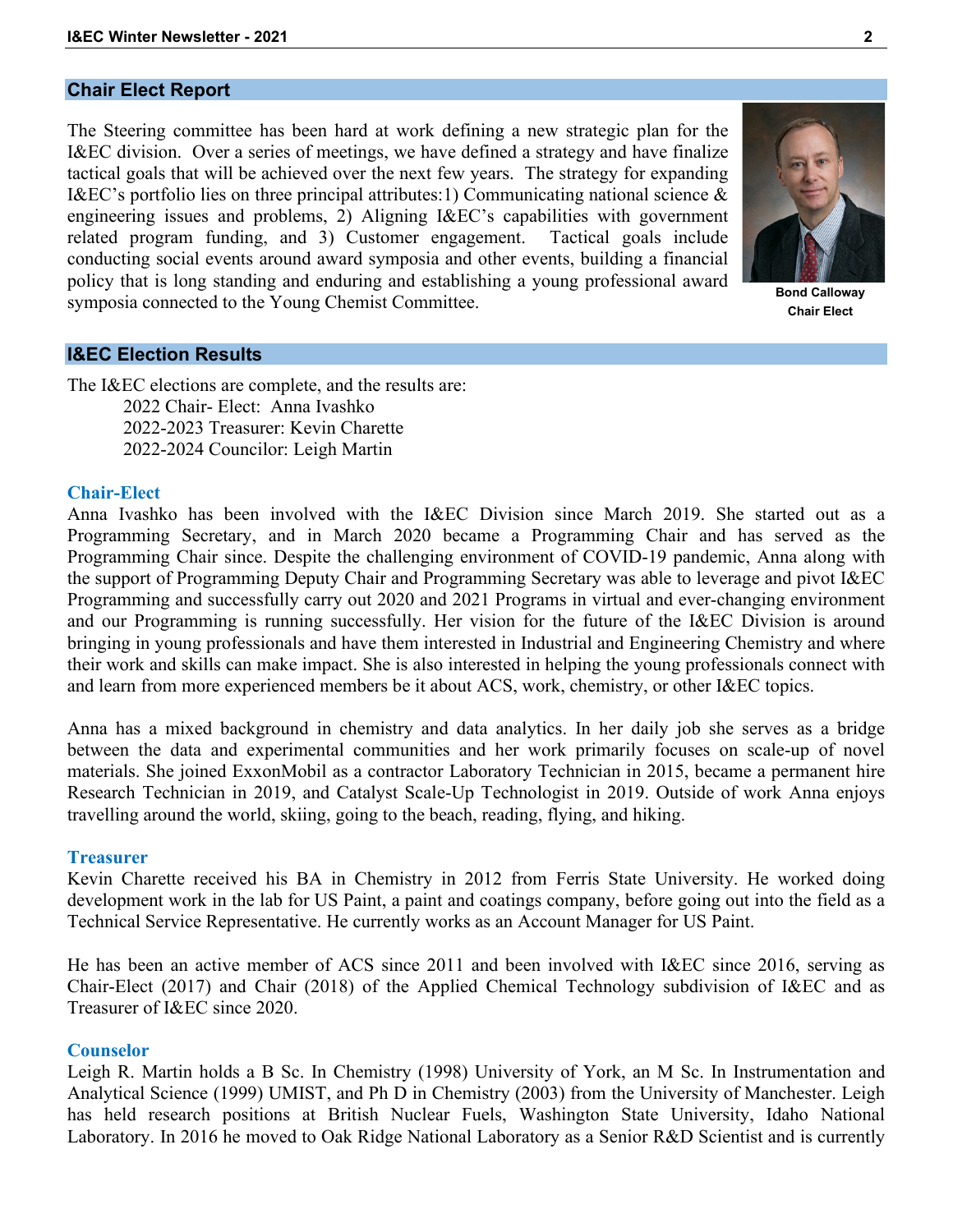## **Chair Elect Report**

The Steering committee has been hard at work defining a new strategic plan for the I&EC division. Over a series of meetings, we have defined a strategy and have finalize tactical goals that will be achieved over the next few years. The strategy for expanding I&EC's portfolio lies on three principal attributes:1) Communicating national science & engineering issues and problems, 2) Aligning I&EC's capabilities with government related program funding, and 3) Customer engagement. Tactical goals include conducting social events around award symposia and other events, building a financial policy that is long standing and enduring and establishing a young professional award symposia connected to the Young Chemist Committee.



**Bond Calloway Chair Elect**

## **I&EC Election Results**

The I&EC elections are complete, and the results are: 2022 Chair- Elect: Anna Ivashko 2022-2023 Treasurer: Kevin Charette 2022-2024 Councilor: Leigh Martin

#### **Chair-Elect**

Anna Ivashko has been involved with the I&EC Division since March 2019. She started out as a Programming Secretary, and in March 2020 became a Programming Chair and has served as the Programming Chair since. Despite the challenging environment of COVID-19 pandemic, Anna along with the support of Programming Deputy Chair and Programming Secretary was able to leverage and pivot I&EC Programming and successfully carry out 2020 and 2021 Programs in virtual and ever-changing environment and our Programming is running successfully. Her vision for the future of the I&EC Division is around bringing in young professionals and have them interested in Industrial and Engineering Chemistry and where their work and skills can make impact. She is also interested in helping the young professionals connect with and learn from more experienced members be it about ACS, work, chemistry, or other I&EC topics.

Anna has a mixed background in chemistry and data analytics. In her daily job she serves as a bridge between the data and experimental communities and her work primarily focuses on scale-up of novel materials. She joined ExxonMobil as a contractor Laboratory Technician in 2015, became a permanent hire Research Technician in 2019, and Catalyst Scale-Up Technologist in 2019. Outside of work Anna enjoys travelling around the world, skiing, going to the beach, reading, flying, and hiking.

#### **Treasurer**

Kevin Charette received his BA in Chemistry in 2012 from Ferris State University. He worked doing development work in the lab for US Paint, a paint and coatings company, before going out into the field as a Technical Service Representative. He currently works as an Account Manager for US Paint.

He has been an active member of ACS since 2011 and been involved with I&EC since 2016, serving as Chair-Elect (2017) and Chair (2018) of the Applied Chemical Technology subdivision of I&EC and as Treasurer of I&EC since 2020.

#### **Counselor**

Leigh R. Martin holds a B Sc. In Chemistry (1998) University of York, an M Sc. In Instrumentation and Analytical Science (1999) UMIST, and Ph D in Chemistry (2003) from the University of Manchester. Leigh has held research positions at British Nuclear Fuels, Washington State University, Idaho National Laboratory. In 2016 he moved to Oak Ridge National Laboratory as a Senior R&D Scientist and is currently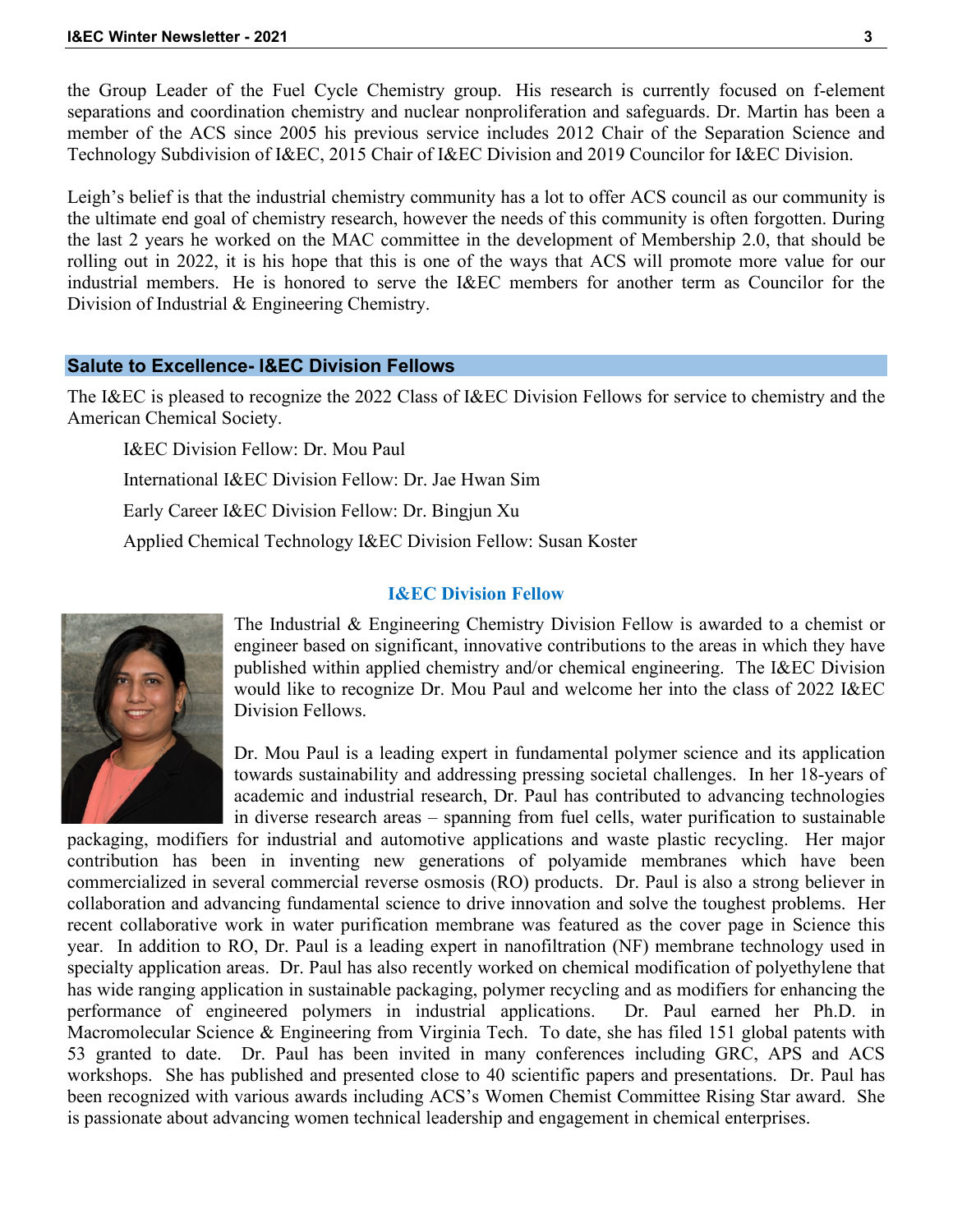the Group Leader of the Fuel Cycle Chemistry group. His research is currently focused on f-element separations and coordination chemistry and nuclear nonproliferation and safeguards. Dr. Martin has been a member of the ACS since 2005 his previous service includes 2012 Chair of the Separation Science and Technology Subdivision of I&EC, 2015 Chair of I&EC Division and 2019 Councilor for I&EC Division.

Leigh's belief is that the industrial chemistry community has a lot to offer ACS council as our community is the ultimate end goal of chemistry research, however the needs of this community is often forgotten. During the last 2 years he worked on the MAC committee in the development of Membership 2.0, that should be rolling out in 2022, it is his hope that this is one of the ways that ACS will promote more value for our industrial members. He is honored to serve the I&EC members for another term as Councilor for the Division of Industrial & Engineering Chemistry.

## **Salute to Excellence- I&EC Division Fellows**

The I&EC is pleased to recognize the 2022 Class of I&EC Division Fellows for service to chemistry and the American Chemical Society.

I&EC Division Fellow: Dr. Mou Paul International I&EC Division Fellow: Dr. Jae Hwan Sim Early Career I&EC Division Fellow: Dr. Bingjun Xu Applied Chemical Technology I&EC Division Fellow: Susan Koster

## **I&EC Division Fellow**



The Industrial & Engineering Chemistry Division Fellow is awarded to a chemist or engineer based on significant, innovative contributions to the areas in which they have published within applied chemistry and/or chemical engineering. The I&EC Division would like to recognize Dr. Mou Paul and welcome her into the class of 2022 I&EC Division Fellows.

Dr. Mou Paul is a leading expert in fundamental polymer science and its application towards sustainability and addressing pressing societal challenges. In her 18-years of academic and industrial research, Dr. Paul has contributed to advancing technologies in diverse research areas – spanning from fuel cells, water purification to sustainable

packaging, modifiers for industrial and automotive applications and waste plastic recycling. Her major contribution has been in inventing new generations of polyamide membranes which have been commercialized in several commercial reverse osmosis (RO) products. Dr. Paul is also a strong believer in collaboration and advancing fundamental science to drive innovation and solve the toughest problems. Her recent collaborative work in water purification membrane was featured as the cover page in Science this year. In addition to RO, Dr. Paul is a leading expert in nanofiltration (NF) membrane technology used in specialty application areas. Dr. Paul has also recently worked on chemical modification of polyethylene that has wide ranging application in sustainable packaging, polymer recycling and as modifiers for enhancing the performance of engineered polymers in industrial applications. Dr. Paul earned her Ph.D. in Macromolecular Science & Engineering from Virginia Tech. To date, she has filed 151 global patents with 53 granted to date. Dr. Paul has been invited in many conferences including GRC, APS and ACS workshops. She has published and presented close to 40 scientific papers and presentations. Dr. Paul has been recognized with various awards including ACS's Women Chemist Committee Rising Star award. She is passionate about advancing women technical leadership and engagement in chemical enterprises.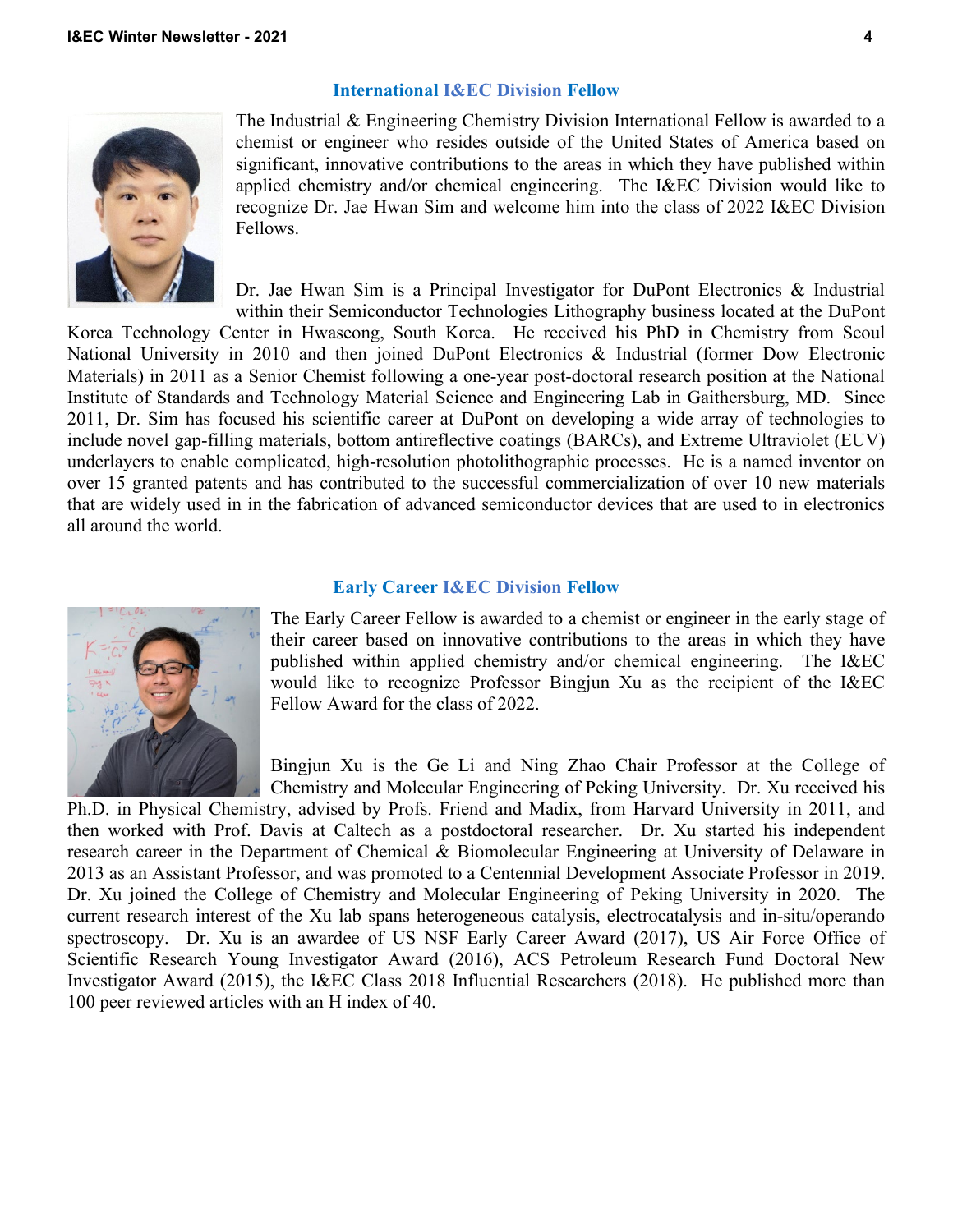#### **International I&EC Division Fellow**



The Industrial & Engineering Chemistry Division International Fellow is awarded to a chemist or engineer who resides outside of the United States of America based on significant, innovative contributions to the areas in which they have published within applied chemistry and/or chemical engineering. The I&EC Division would like to recognize Dr. Jae Hwan Sim and welcome him into the class of 2022 I&EC Division Fellows.

Dr. Jae Hwan Sim is a Principal Investigator for DuPont Electronics & Industrial within their Semiconductor Technologies Lithography business located at the DuPont

Korea Technology Center in Hwaseong, South Korea. He received his PhD in Chemistry from Seoul National University in 2010 and then joined DuPont Electronics & Industrial (former Dow Electronic Materials) in 2011 as a Senior Chemist following a one-year post-doctoral research position at the National Institute of Standards and Technology Material Science and Engineering Lab in Gaithersburg, MD. Since 2011, Dr. Sim has focused his scientific career at DuPont on developing a wide array of technologies to include novel gap-filling materials, bottom antireflective coatings (BARCs), and Extreme Ultraviolet (EUV) underlayers to enable complicated, high-resolution photolithographic processes. He is a named inventor on over 15 granted patents and has contributed to the successful commercialization of over 10 new materials that are widely used in in the fabrication of advanced semiconductor devices that are used to in electronics all around the world.

#### **Early Career I&EC Division Fellow**



The Early Career Fellow is awarded to a chemist or engineer in the early stage of their career based on innovative contributions to the areas in which they have published within applied chemistry and/or chemical engineering. The I&EC would like to recognize Professor Bingjun Xu as the recipient of the I&EC Fellow Award for the class of 2022.

Bingjun Xu is the Ge Li and Ning Zhao Chair Professor at the College of Chemistry and Molecular Engineering of Peking University. Dr. Xu received his

Ph.D. in Physical Chemistry, advised by Profs. Friend and Madix, from Harvard University in 2011, and then worked with Prof. Davis at Caltech as a postdoctoral researcher. Dr. Xu started his independent research career in the Department of Chemical & Biomolecular Engineering at University of Delaware in 2013 as an Assistant Professor, and was promoted to a Centennial Development Associate Professor in 2019. Dr. Xu joined the College of Chemistry and Molecular Engineering of Peking University in 2020. The current research interest of the Xu lab spans heterogeneous catalysis, electrocatalysis and in-situ/operando spectroscopy. Dr. Xu is an awardee of US NSF Early Career Award (2017), US Air Force Office of Scientific Research Young Investigator Award (2016), ACS Petroleum Research Fund Doctoral New Investigator Award (2015), the I&EC Class 2018 Influential Researchers (2018). He published more than 100 peer reviewed articles with an H index of 40.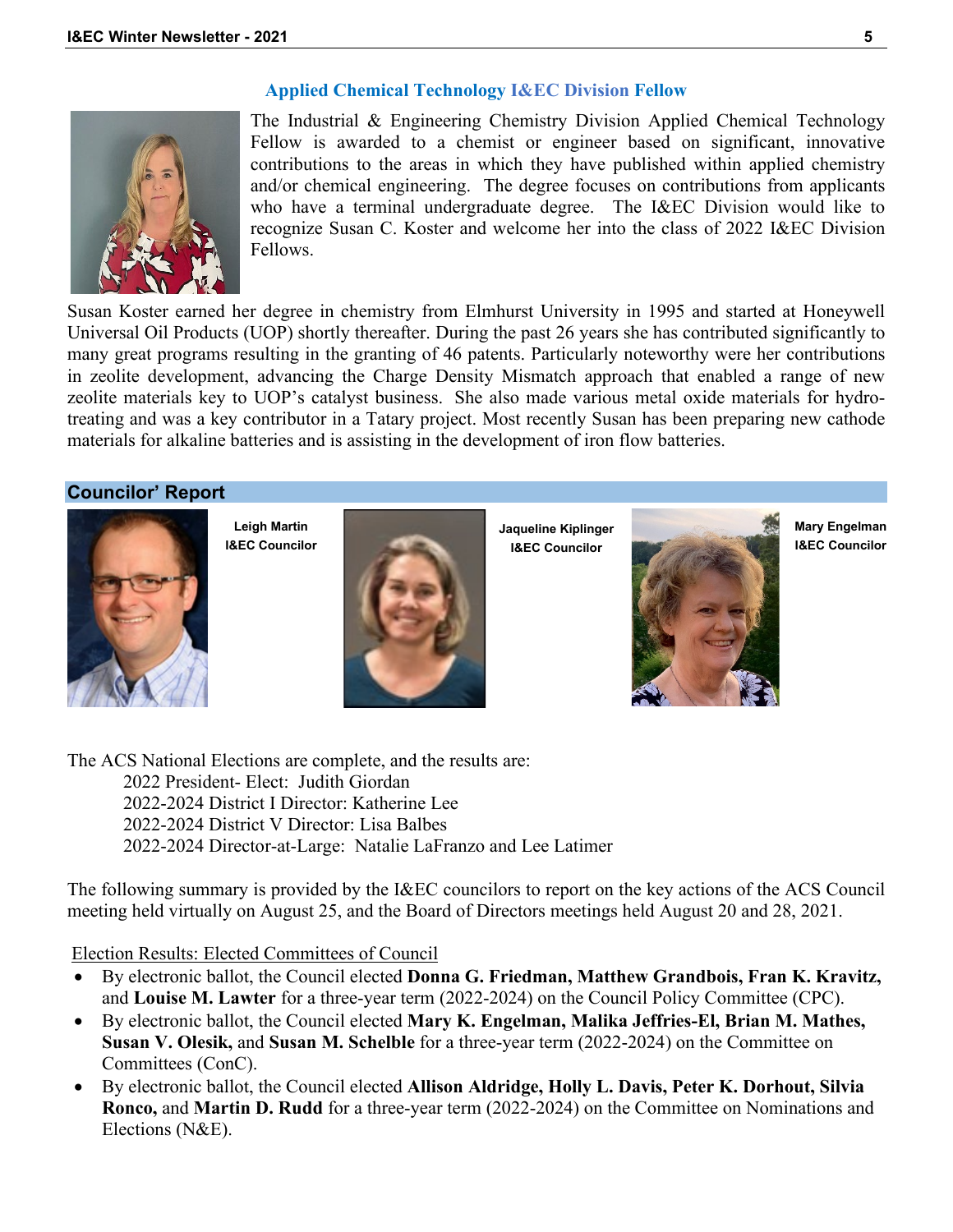# **Applied Chemical Technology I&EC Division Fellow**



The Industrial & Engineering Chemistry Division Applied Chemical Technology Fellow is awarded to a chemist or engineer based on significant, innovative contributions to the areas in which they have published within applied chemistry and/or chemical engineering. The degree focuses on contributions from applicants who have a terminal undergraduate degree. The I&EC Division would like to recognize Susan C. Koster and welcome her into the class of 2022 I&EC Division Fellows.

Susan Koster earned her degree in chemistry from Elmhurst University in 1995 and started at Honeywell Universal Oil Products (UOP) shortly thereafter. During the past 26 years she has contributed significantly to many great programs resulting in the granting of 46 patents. Particularly noteworthy were her contributions in zeolite development, advancing the Charge Density Mismatch approach that enabled a range of new zeolite materials key to UOP's catalyst business. She also made various metal oxide materials for hydrotreating and was a key contributor in a Tatary project. Most recently Susan has been preparing new cathode materials for alkaline batteries and is assisting in the development of iron flow batteries.

# **Councilor' Report**



**Leigh Martin I&EC Councilor**



**Jaqueline Kiplinger I&EC Councilor**



**Mary Engelman I&EC Councilor**

The ACS National Elections are complete, and the results are: 2022 President- Elect: Judith Giordan 2022-2024 District I Director: Katherine Lee 2022-2024 District V Director: Lisa Balbes 2022-2024 Director-at-Large: Natalie LaFranzo and Lee Latimer

The following summary is provided by the I&EC councilors to report on the key actions of the ACS Council meeting held virtually on August 25, and the Board of Directors meetings held August 20 and 28, 2021.

Election Results: Elected Committees of Council

- By electronic ballot, the Council elected **Donna G. Friedman, Matthew Grandbois, Fran K. Kravitz,**  and **Louise M. Lawter** for a three-year term (2022-2024) on the Council Policy Committee (CPC).
- By electronic ballot, the Council elected **Mary K. Engelman, Malika Jeffries-El, Brian M. Mathes, Susan V. Olesik,** and **Susan M. Schelble** for a three-year term (2022-2024) on the Committee on Committees (ConC).
- By electronic ballot, the Council elected **Allison Aldridge, Holly L. Davis, Peter K. Dorhout, Silvia Ronco,** and **Martin D. Rudd** for a three-year term (2022-2024) on the Committee on Nominations and Elections (N&E).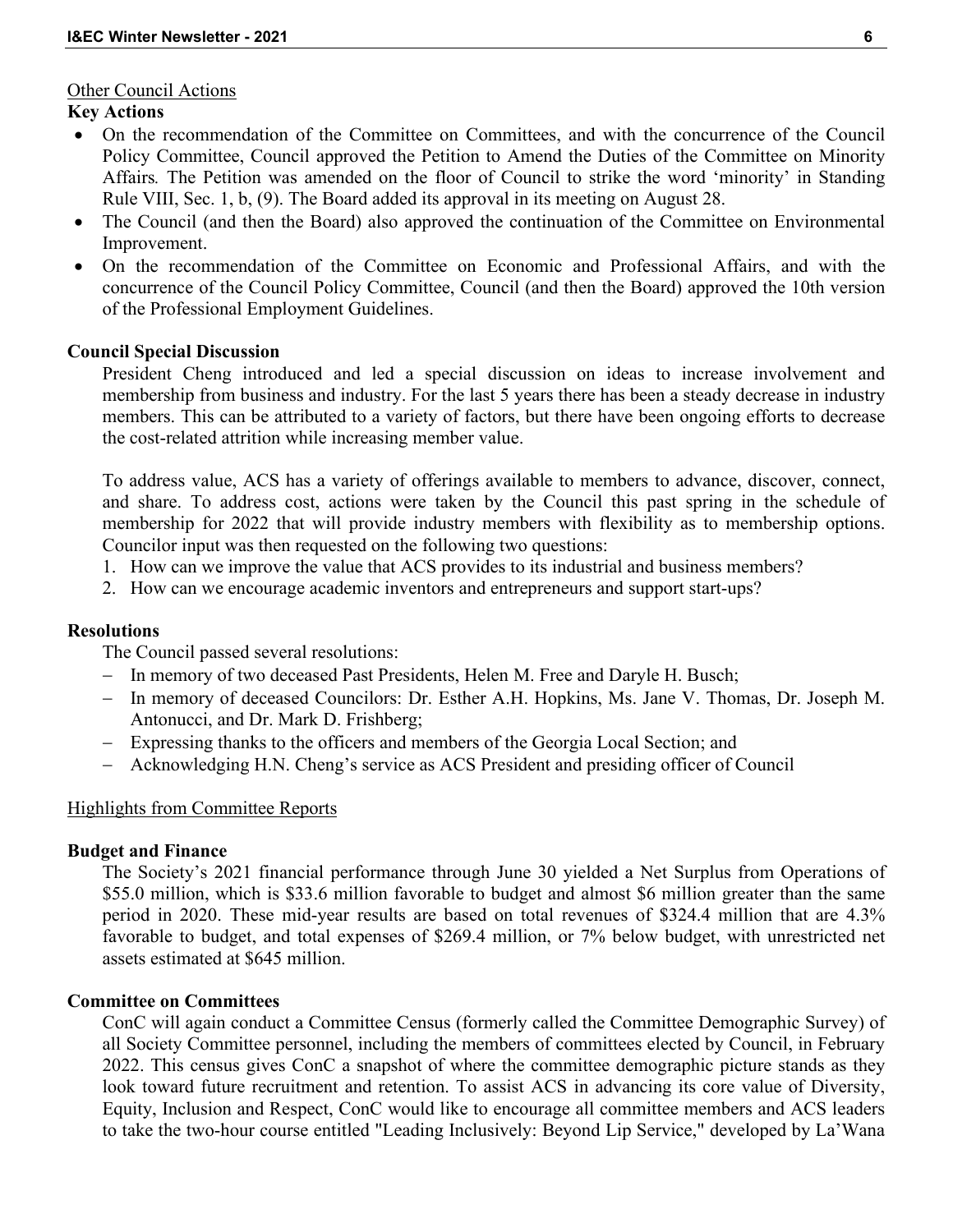## Other Council Actions

# **Key Actions**

- On the recommendation of the Committee on Committees, and with the concurrence of the Council Policy Committee, Council approved the Petition to Amend the Duties of the Committee on Minority Affairs*.* The Petition was amended on the floor of Council to strike the word 'minority' in Standing Rule VIII, Sec. 1, b, (9). The Board added its approval in its meeting on August 28.
- The Council (and then the Board) also approved the continuation of the Committee on Environmental Improvement.
- On the recommendation of the Committee on Economic and Professional Affairs, and with the concurrence of the Council Policy Committee, Council (and then the Board) approved the 10th version of the Professional Employment Guidelines.

## **Council Special Discussion**

President Cheng introduced and led a special discussion on ideas to increase involvement and membership from business and industry. For the last 5 years there has been a steady decrease in industry members. This can be attributed to a variety of factors, but there have been ongoing efforts to decrease the cost-related attrition while increasing member value.

To address value, ACS has a variety of offerings available to members to advance, discover, connect, and share. To address cost, actions were taken by the Council this past spring in the schedule of membership for 2022 that will provide industry members with flexibility as to membership options. Councilor input was then requested on the following two questions:

- 1. How can we improve the value that ACS provides to its industrial and business members?
- 2. How can we encourage academic inventors and entrepreneurs and support start-ups?

## **Resolutions**

The Council passed several resolutions:

- − In memory of two deceased Past Presidents, Helen M. Free and Daryle H. Busch;
- − In memory of deceased Councilors: Dr. Esther A.H. Hopkins, Ms. Jane V. Thomas, Dr. Joseph M. Antonucci, and Dr. Mark D. Frishberg;
- − Expressing thanks to the officers and members of the Georgia Local Section; and
- − Acknowledging H.N. Cheng's service as ACS President and presiding officer of Council

# Highlights from Committee Reports

## **Budget and Finance**

The Society's 2021 financial performance through June 30 yielded a Net Surplus from Operations of \$55.0 million, which is \$33.6 million favorable to budget and almost \$6 million greater than the same period in 2020. These mid-year results are based on total revenues of \$324.4 million that are 4.3% favorable to budget, and total expenses of \$269.4 million, or 7% below budget, with unrestricted net assets estimated at \$645 million.

# **Committee on Committees**

ConC will again conduct a Committee Census (formerly called the Committee Demographic Survey) of all Society Committee personnel, including the members of committees elected by Council, in February 2022. This census gives ConC a snapshot of where the committee demographic picture stands as they look toward future recruitment and retention. To assist ACS in advancing its core value of Diversity, Equity, Inclusion and Respect, ConC would like to encourage all committee members and ACS leaders to take the two-hour course entitled "Leading Inclusively: Beyond Lip Service," developed by La'Wana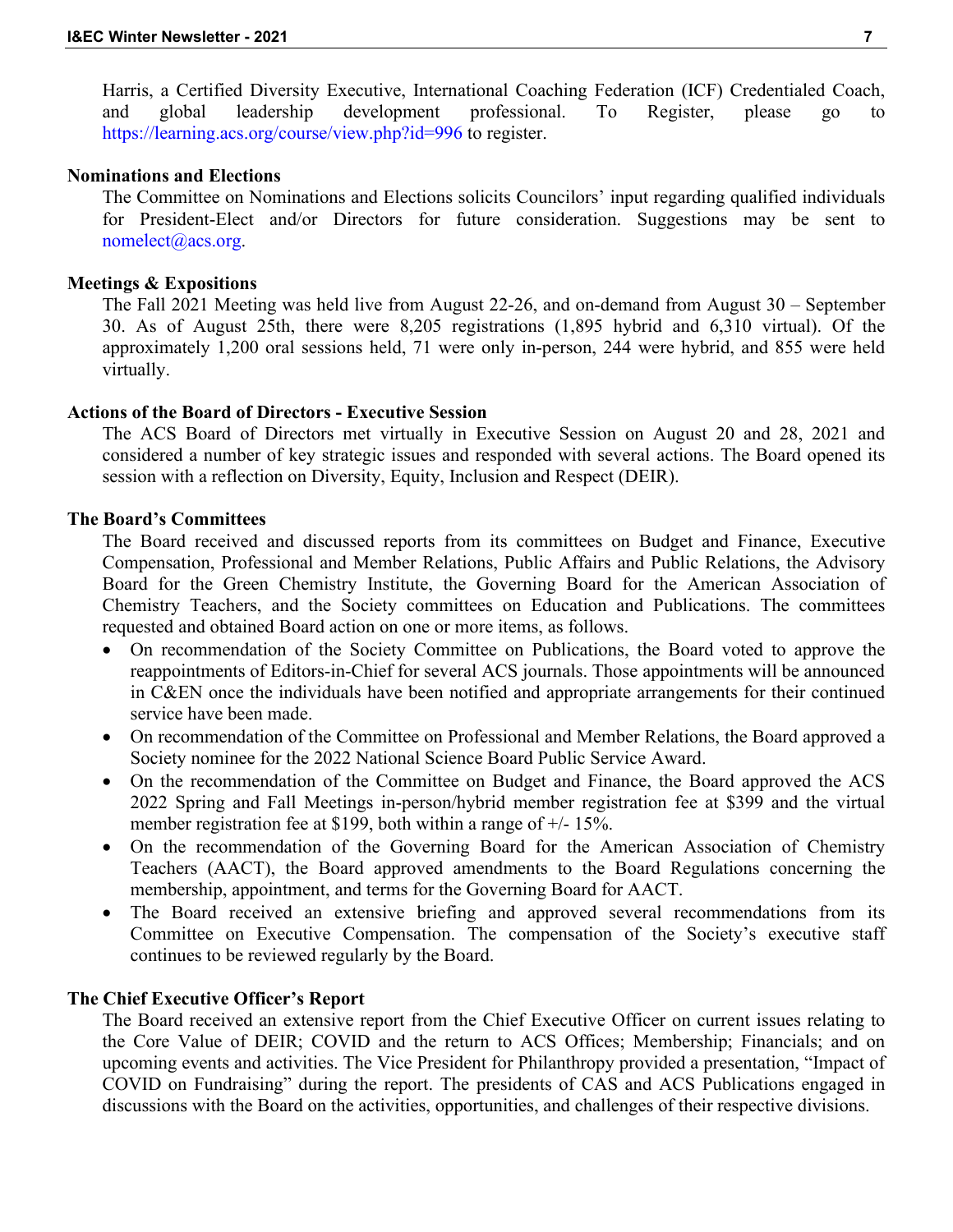Harris, a Certified Diversity Executive, International Coaching Federation (ICF) Credentialed Coach, and global leadership development professional. To Register, please go to https://learning.acs.org/course/view.php?id=996 to register.

## **Nominations and Elections**

The Committee on Nominations and Elections solicits Councilors' input regarding qualified individuals for President-Elect and/or Directors for future consideration. Suggestions may be sent to nomelect@acs.org.

## **Meetings & Expositions**

The Fall 2021 Meeting was held live from August 22-26, and on-demand from August 30 – September 30. As of August 25th, there were 8,205 registrations (1,895 hybrid and 6,310 virtual). Of the approximately 1,200 oral sessions held, 71 were only in-person, 244 were hybrid, and 855 were held virtually.

## **Actions of the Board of Directors - Executive Session**

The ACS Board of Directors met virtually in Executive Session on August 20 and 28, 2021 and considered a number of key strategic issues and responded with several actions. The Board opened its session with a reflection on Diversity, Equity, Inclusion and Respect (DEIR).

#### **The Board's Committees**

The Board received and discussed reports from its committees on Budget and Finance, Executive Compensation, Professional and Member Relations, Public Affairs and Public Relations, the Advisory Board for the Green Chemistry Institute, the Governing Board for the American Association of Chemistry Teachers, and the Society committees on Education and Publications. The committees requested and obtained Board action on one or more items, as follows.

- On recommendation of the Society Committee on Publications, the Board voted to approve the reappointments of Editors-in-Chief for several ACS journals. Those appointments will be announced in C&EN once the individuals have been notified and appropriate arrangements for their continued service have been made.
- On recommendation of the Committee on Professional and Member Relations, the Board approved a Society nominee for the 2022 National Science Board Public Service Award.
- On the recommendation of the Committee on Budget and Finance, the Board approved the ACS 2022 Spring and Fall Meetings in-person/hybrid member registration fee at \$399 and the virtual member registration fee at \$199, both within a range of +/- 15%.
- On the recommendation of the Governing Board for the American Association of Chemistry Teachers (AACT), the Board approved amendments to the Board Regulations concerning the membership, appointment, and terms for the Governing Board for AACT.
- The Board received an extensive briefing and approved several recommendations from its Committee on Executive Compensation. The compensation of the Society's executive staff continues to be reviewed regularly by the Board.

#### **The Chief Executive Officer's Report**

The Board received an extensive report from the Chief Executive Officer on current issues relating to the Core Value of DEIR; COVID and the return to ACS Offices; Membership; Financials; and on upcoming events and activities. The Vice President for Philanthropy provided a presentation, "Impact of COVID on Fundraising" during the report. The presidents of CAS and ACS Publications engaged in discussions with the Board on the activities, opportunities, and challenges of their respective divisions.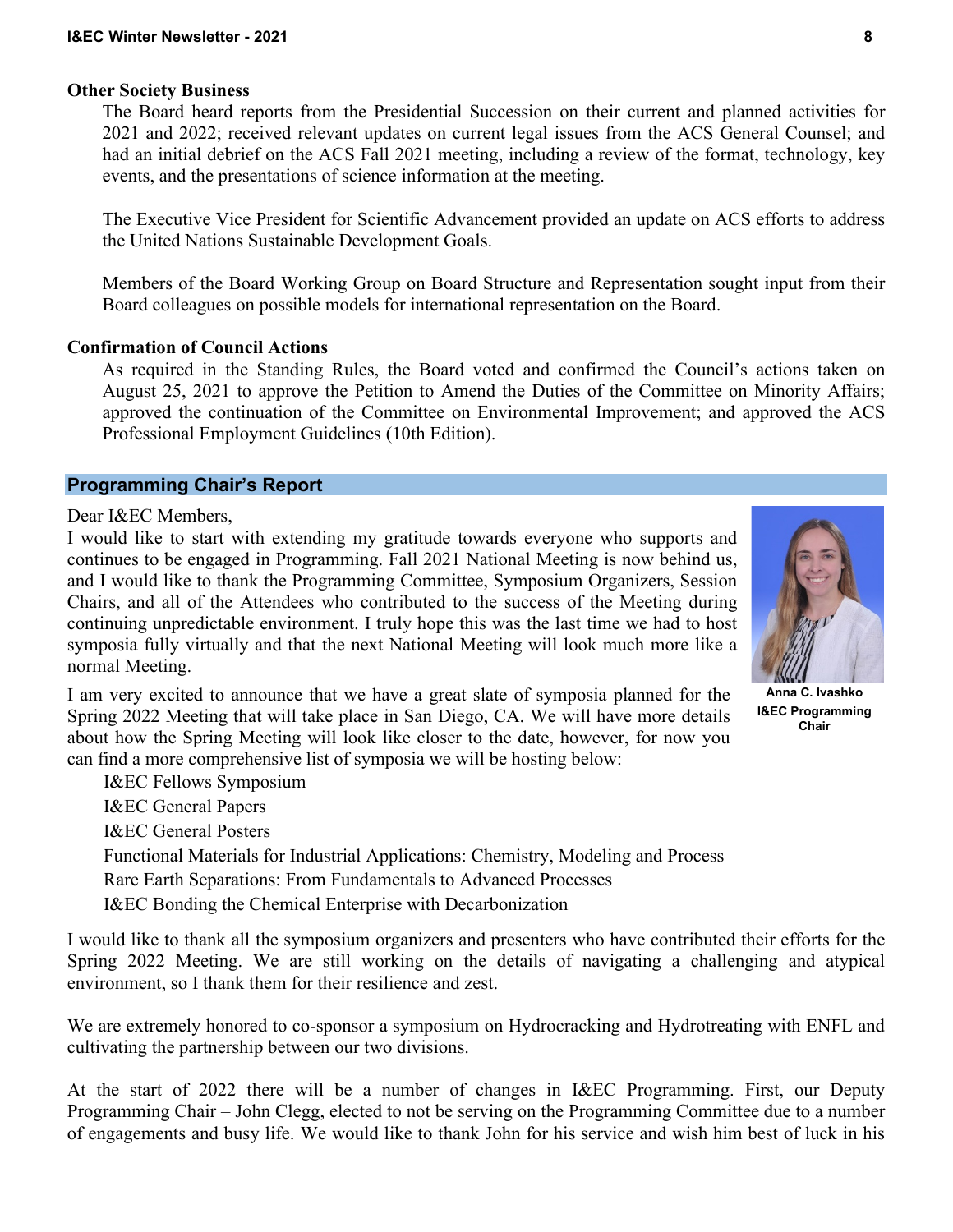#### **Other Society Business**

The Board heard reports from the Presidential Succession on their current and planned activities for 2021 and 2022; received relevant updates on current legal issues from the ACS General Counsel; and had an initial debrief on the ACS Fall 2021 meeting, including a review of the format, technology, key events, and the presentations of science information at the meeting.

The Executive Vice President for Scientific Advancement provided an update on ACS efforts to address the United Nations Sustainable Development Goals.

Members of the Board Working Group on Board Structure and Representation sought input from their Board colleagues on possible models for international representation on the Board.

## **Confirmation of Council Actions**

As required in the Standing Rules, the Board voted and confirmed the Council's actions taken on August 25, 2021 to approve the Petition to Amend the Duties of the Committee on Minority Affairs; approved the continuation of the Committee on Environmental Improvement; and approved the ACS Professional Employment Guidelines (10th Edition).

#### **Programming Chair's Report**

Dear I&EC Members,

I would like to start with extending my gratitude towards everyone who supports and continues to be engaged in Programming. Fall 2021 National Meeting is now behind us, and I would like to thank the Programming Committee, Symposium Organizers, Session Chairs, and all of the Attendees who contributed to the success of the Meeting during continuing unpredictable environment. I truly hope this was the last time we had to host symposia fully virtually and that the next National Meeting will look much more like a normal Meeting.

I am very excited to announce that we have a great slate of symposia planned for the Spring 2022 Meeting that will take place in San Diego, CA. We will have more details about how the Spring Meeting will look like closer to the date, however, for now you can find a more comprehensive list of symposia we will be hosting below:

I&EC Fellows Symposium I&EC General Papers I&EC General Posters Functional Materials for Industrial Applications: Chemistry, Modeling and Process Rare Earth Separations: From Fundamentals to Advanced Processes I&EC Bonding the Chemical Enterprise with Decarbonization

I would like to thank all the symposium organizers and presenters who have contributed their efforts for the Spring 2022 Meeting. We are still working on the details of navigating a challenging and atypical environment, so I thank them for their resilience and zest.

We are extremely honored to co-sponsor a symposium on Hydrocracking and Hydrotreating with ENFL and cultivating the partnership between our two divisions.

At the start of 2022 there will be a number of changes in I&EC Programming. First, our Deputy Programming Chair – John Clegg, elected to not be serving on the Programming Committee due to a number of engagements and busy life. We would like to thank John for his service and wish him best of luck in his

**Anna C. Ivashko I&EC Programming Chair**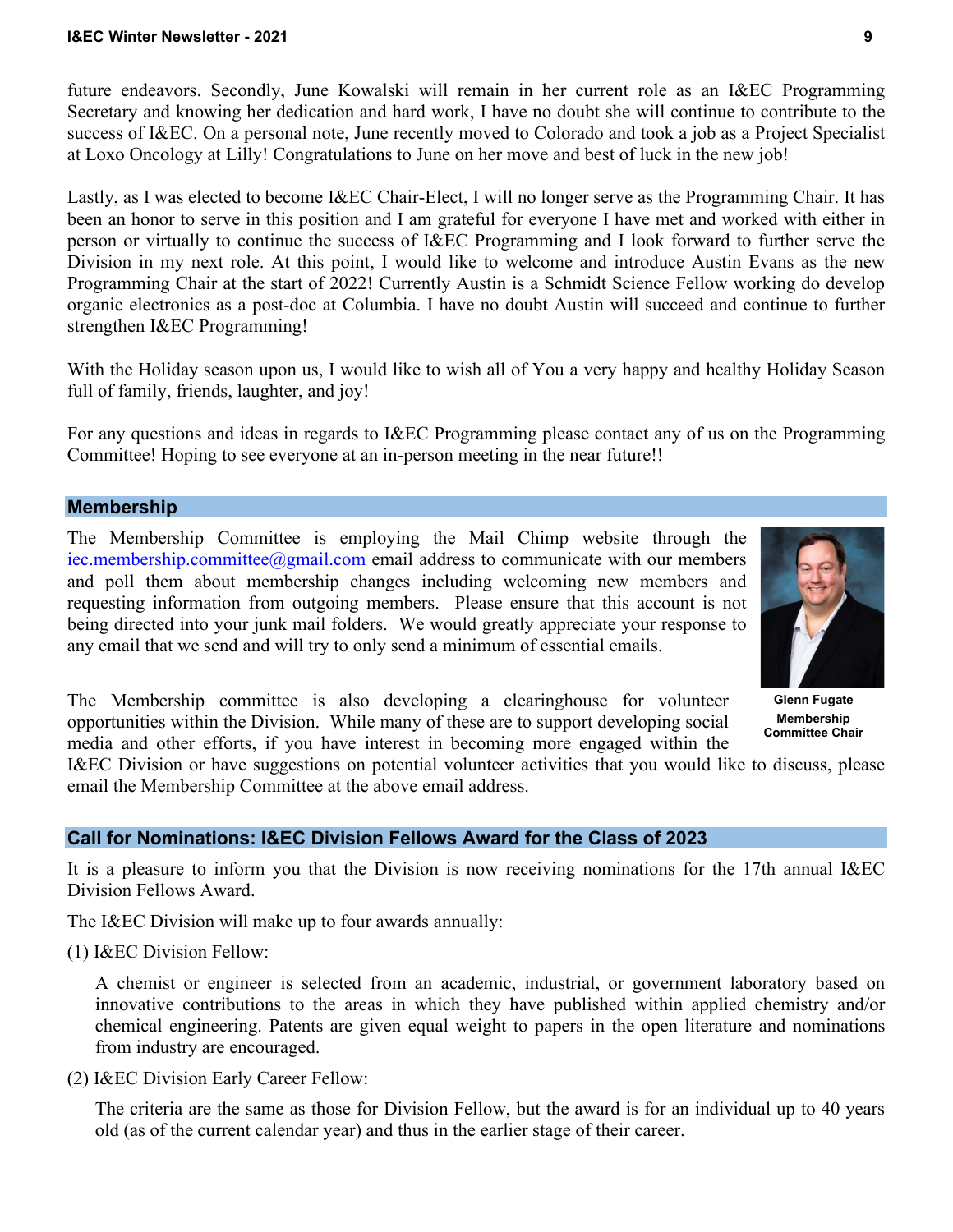future endeavors. Secondly, June Kowalski will remain in her current role as an I&EC Programming Secretary and knowing her dedication and hard work, I have no doubt she will continue to contribute to the success of I&EC. On a personal note, June recently moved to Colorado and took a job as a Project Specialist at Loxo Oncology at Lilly! Congratulations to June on her move and best of luck in the new job!

Lastly, as I was elected to become I&EC Chair-Elect, I will no longer serve as the Programming Chair. It has been an honor to serve in this position and I am grateful for everyone I have met and worked with either in person or virtually to continue the success of I&EC Programming and I look forward to further serve the Division in my next role. At this point, I would like to welcome and introduce Austin Evans as the new Programming Chair at the start of 2022! Currently Austin is a Schmidt Science Fellow working do develop organic electronics as a post-doc at Columbia. I have no doubt Austin will succeed and continue to further strengthen I&EC Programming!

With the Holiday season upon us, I would like to wish all of You a very happy and healthy Holiday Season full of family, friends, laughter, and joy!

For any questions and ideas in regards to I&EC Programming please contact any of us on the Programming Committee! Hoping to see everyone at an in-person meeting in the near future!!

# **Membership**

The Membership Committee is employing the Mail Chimp website through the [iec.membership.committee@gmail.com](mailto:iec.membership.committee@gmail.com) email address to communicate with our members and poll them about membership changes including welcoming new members and requesting information from outgoing members. Please ensure that this account is not being directed into your junk mail folders. We would greatly appreciate your response to any email that we send and will try to only send a minimum of essential emails.

**Glenn Fugate Membership Committee Chair**

The Membership committee is also developing a clearinghouse for volunteer opportunities within the Division. While many of these are to support developing social media and other efforts, if you have interest in becoming more engaged within the

I&EC Division or have suggestions on potential volunteer activities that you would like to discuss, please email the Membership Committee at the above email address.

# **Call for Nominations: I&EC Division Fellows Award for the Class of 2023**

It is a pleasure to inform you that the Division is now receiving nominations for the 17th annual I&EC Division Fellows Award.

The I&EC Division will make up to four awards annually:

(1) I&EC Division Fellow:

A chemist or engineer is selected from an academic, industrial, or government laboratory based on innovative contributions to the areas in which they have published within applied chemistry and/or chemical engineering. Patents are given equal weight to papers in the open literature and nominations from industry are encouraged.

(2) I&EC Division Early Career Fellow:

The criteria are the same as those for Division Fellow, but the award is for an individual up to 40 years old (as of the current calendar year) and thus in the earlier stage of their career.